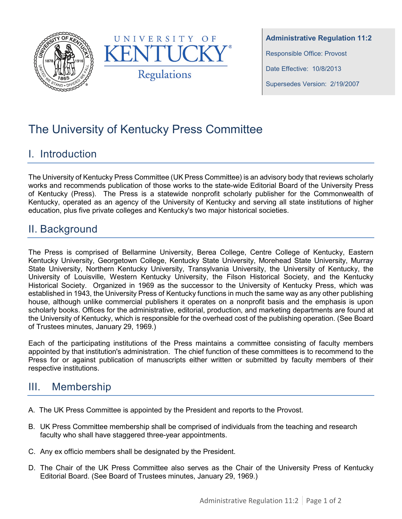



**Administrative Regulation 11:2** Responsible Office: Provost Date Effective: 10/8/2013 Supersedes Version: 2/19/2007

# The University of Kentucky Press Committee

## I. Introduction

The University of Kentucky Press Committee (UK Press Committee) is an advisory body that reviews scholarly works and recommends publication of those works to the state-wide Editorial Board of the University Press of Kentucky (Press). The Press is a statewide nonprofit scholarly publisher for the Commonwealth of Kentucky, operated as an agency of the University of Kentucky and serving all state institutions of higher education, plus five private colleges and Kentucky's two major historical societies.

## II. Background

The Press is comprised of Bellarmine University, Berea College, Centre College of Kentucky, Eastern Kentucky University, Georgetown College, Kentucky State University, Morehead State University, Murray State University, Northern Kentucky University, Transylvania University, the University of Kentucky, the University of Louisville, Western Kentucky University, the Filson Historical Society, and the Kentucky Historical Society. Organized in 1969 as the successor to the University of Kentucky Press, which was established in 1943, the University Press of Kentucky functions in much the same way as any other publishing house, although unlike commercial publishers it operates on a nonprofit basis and the emphasis is upon scholarly books. Offices for the administrative, editorial, production, and marketing departments are found at the University of Kentucky, which is responsible for the overhead cost of the publishing operation. (See Board of Trustees minutes, January 29, 1969.)

Each of the participating institutions of the Press maintains a committee consisting of faculty members appointed by that institution's administration. The chief function of these committees is to recommend to the Press for or against publication of manuscripts either written or submitted by faculty members of their respective institutions.

# III. Membership

- A. The UK Press Committee is appointed by the President and reports to the Provost.
- B. UK Press Committee membership shall be comprised of individuals from the teaching and research faculty who shall have staggered three-year appointments.
- C. Any ex officio members shall be designated by the President.
- D. The Chair of the UK Press Committee also serves as the Chair of the University Press of Kentucky Editorial Board. (See Board of Trustees minutes, January 29, 1969.)